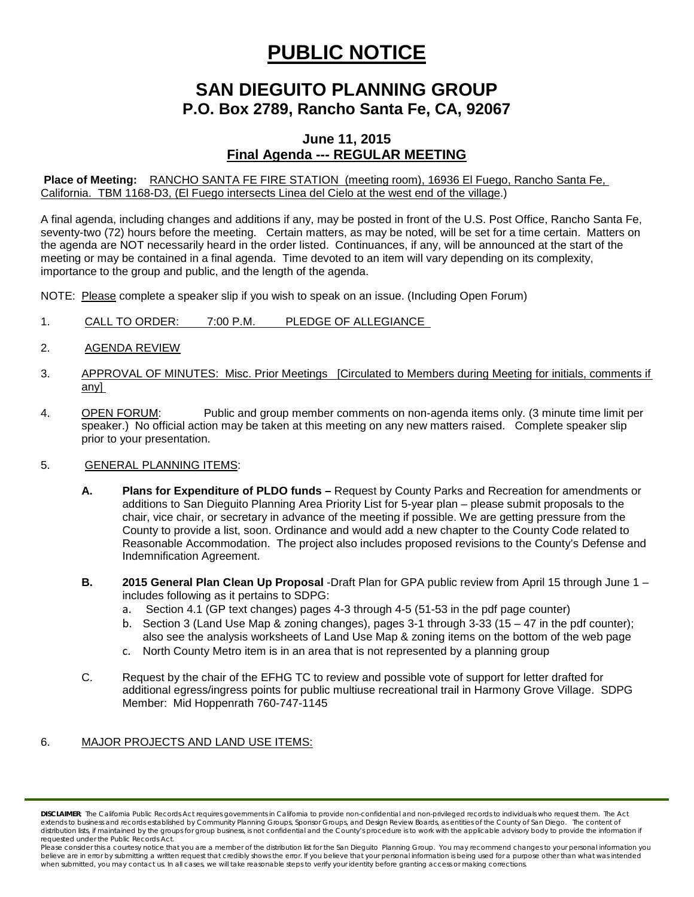# **PUBLIC NOTICE**

## **SAN DIEGUITO PLANNING GROUP P.O. Box 2789, Rancho Santa Fe, CA, 92067**

### **June 11, 2015 Final Agenda --- REGULAR MEETING**

**Place of Meeting:** RANCHO SANTA FE FIRE STATION (meeting room), 16936 El Fuego, Rancho Santa Fe, California. TBM 1168-D3, (El Fuego intersects Linea del Cielo at the west end of the village.)

A final agenda, including changes and additions if any, may be posted in front of the U.S. Post Office, Rancho Santa Fe, seventy-two (72) hours before the meeting. Certain matters, as may be noted, will be set for a time certain. Matters on the agenda are NOT necessarily heard in the order listed. Continuances, if any, will be announced at the start of the meeting or may be contained in a final agenda. Time devoted to an item will vary depending on its complexity, importance to the group and public, and the length of the agenda.

NOTE: Please complete a speaker slip if you wish to speak on an issue. (Including Open Forum)

- 1. CALL TO ORDER: 7:00 P.M. PLEDGE OF ALLEGIANCE
- 2. AGENDA REVIEW
- 3. APPROVAL OF MINUTES: Misc. Prior Meetings [Circulated to Members during Meeting for initials, comments if any]
- 4. OPEN FORUM: Public and group member comments on non-agenda items only. (3 minute time limit per speaker.) No official action may be taken at this meeting on any new matters raised. Complete speaker slip prior to your presentation.

#### 5. GENERAL PLANNING ITEMS:

- **A. Plans for Expenditure of PLDO funds –** Request by County Parks and Recreation for amendments or additions to San Dieguito Planning Area Priority List for 5-year plan – please submit proposals to the chair, vice chair, or secretary in advance of the meeting if possible. We are getting pressure from the County to provide a list, soon. Ordinance and would add a new chapter to the County Code related to Reasonable Accommodation. The project also includes proposed revisions to the County's Defense and Indemnification Agreement.
- **B. 2015 General Plan Clean Up Proposal** -Draft Plan for GPA public review from April 15 through June 1 includes following as it pertains to SDPG:
	- a. Section 4.1 (GP text changes) pages 4-3 through 4-5 (51-53 in the pdf page counter)
	- b. Section 3 (Land Use Map & zoning changes), pages 3-1 through 3-33 (15 47 in the pdf counter); also see the analysis worksheets of Land Use Map & zoning items on the bottom of the web page
	- c. North County Metro item is in an area that is not represented by a planning group
- C. Request by the chair of the EFHG TC to review and possible vote of support for letter drafted for additional egress/ingress points for public multiuse recreational trail in Harmony Grove Village. SDPG Member: Mid Hoppenrath 760-747-1145

#### 6. MAJOR PROJECTS AND LAND USE ITEMS:

*DISCLAIMER; The California Public Records Act requires governments in California to provide non-confidential and non-privileged records to individuals who request them. The Act extends to business and records established by Community Planning Groups, Sponsor Groups, and Design Review Boards, as entities of the County of San Diego. The content of*  distribution lists, if maintained by the groups for group business, is not confidential and the County's procedure is to work with the applicable advisory body to provide the information if *requested under the Public Records Act.*

Please consider this a courtesy notice that you are a member of the distribution list for the San Dieguito Planning Group. You may recommend changes to your personal information you believe are in error by submitting a written request that credibly shows the error. If you believe that your personal information is being used for a purpose other than what was intended<br>when submitted, you may contact us.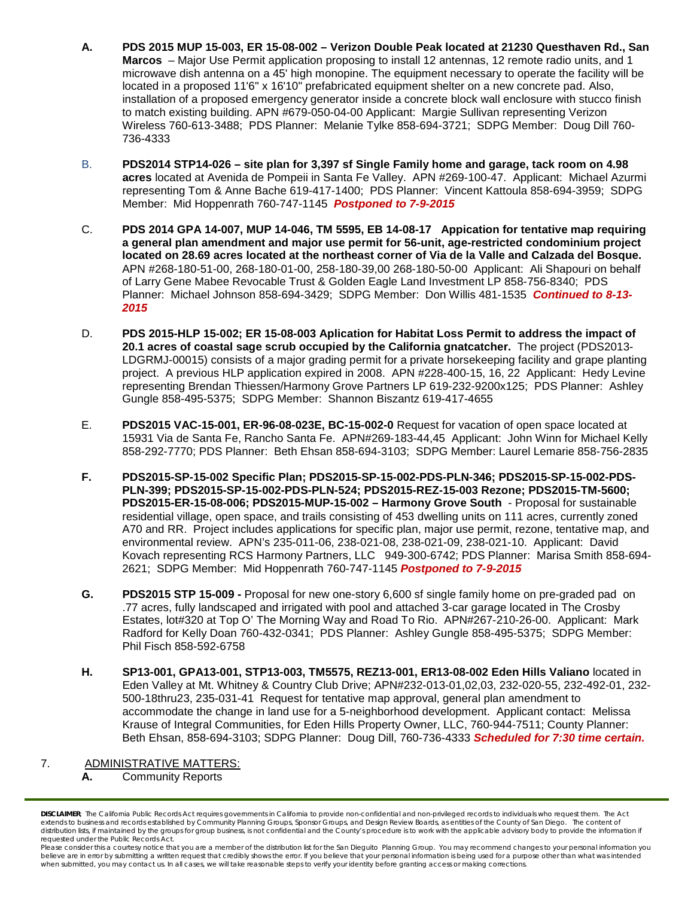- **A. PDS 2015 MUP 15-003, ER 15-08-002 – Verizon Double Peak located at 21230 Questhaven Rd., San Marcos** – Major Use Permit application proposing to install 12 antennas, 12 remote radio units, and 1 microwave dish antenna on a 45' high monopine. The equipment necessary to operate the facility will be located in a proposed 11'6" x 16'10" prefabricated equipment shelter on a new concrete pad. Also, installation of a proposed emergency generator inside a concrete block wall enclosure with stucco finish to match existing building. APN #679-050-04-00 Applicant: Margie Sullivan representing Verizon Wireless 760-613-3488; PDS Planner: Melanie Tylke 858-694-3721; SDPG Member: Doug Dill 760- 736-4333
- B. **PDS2014 STP14-026 – site plan for 3,397 sf Single Family home and garage, tack room on 4.98 acres** located at Avenida de Pompeii in Santa Fe Valley. APN #269-100-47. Applicant: Michael Azurmi representing Tom & Anne Bache 619-417-1400; PDS Planner: Vincent Kattoula 858-694-3959; SDPG Member: Mid Hoppenrath 760-747-1145 *Postponed to 7-9-2015*
- C. **PDS 2014 GPA 14-007, MUP 14-046, TM 5595, EB 14-08-17 Appication for tentative map requiring a general plan amendment and major use permit for 56-unit, age-restricted condominium project located on 28.69 acres located at the northeast corner of Via de la Valle and Calzada del Bosque.**  APN #268-180-51-00, 268-180-01-00, 258-180-39,00 268-180-50-00 Applicant: Ali Shapouri on behalf of Larry Gene Mabee Revocable Trust & Golden Eagle Land Investment LP 858-756-8340; PDS Planner: Michael Johnson 858-694-3429; SDPG Member: Don Willis 481-1535 *Continued to 8-13- 2015*
- D. **PDS 2015-HLP 15-002; ER 15-08-003 Aplication for Habitat Loss Permit to address the impact of 20.1 acres of coastal sage scrub occupied by the California gnatcatcher.** The project (PDS2013- LDGRMJ-00015) consists of a major grading permit for a private horsekeeping facility and grape planting project. A previous HLP application expired in 2008. APN #228-400-15, 16, 22 Applicant: Hedy Levine representing Brendan Thiessen/Harmony Grove Partners LP 619-232-9200x125; PDS Planner: Ashley Gungle 858-495-5375; SDPG Member: Shannon Biszantz 619-417-4655
- E. **PDS2015 VAC-15-001, ER-96-08-023E, BC-15-002-0** Request for vacation of open space located at 15931 Via de Santa Fe, Rancho Santa Fe. APN#269-183-44,45 Applicant: John Winn for Michael Kelly 858-292-7770; PDS Planner: Beth Ehsan 858-694-3103; SDPG Member: Laurel Lemarie 858-756-2835
- **F. PDS2015-SP-15-002 Specific Plan; PDS2015-SP-15-002-PDS-PLN-346; PDS2015-SP-15-002-PDS-PLN-399; PDS2015-SP-15-002-PDS-PLN-524; PDS2015-REZ-15-003 Rezone; PDS2015-TM-5600; PDS2015-ER-15-08-006; PDS2015-MUP-15-002 – Harmony Grove South** - Proposal for sustainable residential village, open space, and trails consisting of 453 dwelling units on 111 acres, currently zoned A70 and RR. Project includes applications for specific plan, major use permit, rezone, tentative map, and environmental review. APN's 235-011-06, 238-021-08, 238-021-09, 238-021-10. Applicant: David Kovach representing RCS Harmony Partners, LLC 949-300-6742; PDS Planner: Marisa Smith 858-694- 2621; SDPG Member: Mid Hoppenrath 760-747-1145 *Postponed to 7-9-2015*
- **G. PDS2015 STP 15-009 -** Proposal for new one-story 6,600 sf single family home on pre-graded pad on .77 acres, fully landscaped and irrigated with pool and attached 3-car garage located in The Crosby Estates, lot#320 at Top O' The Morning Way and Road To Rio. APN#267-210-26-00. Applicant: Mark Radford for Kelly Doan 760-432-0341; PDS Planner: Ashley Gungle 858-495-5375; SDPG Member: Phil Fisch 858-592-6758
- **H. SP13-001, GPA13-001, STP13-003, TM5575, REZ13-001, ER13-08-002 Eden Hills Valiano** located in Eden Valley at Mt. Whitney & Country Club Drive; APN#232-013-01,02,03, 232-020-55, 232-492-01, 232- 500-18thru23, 235-031-41 Request for tentative map approval, general plan amendment to accommodate the change in land use for a 5-neighborhood development. Applicant contact: Melissa Krause of Integral Communities, for Eden Hills Property Owner, LLC, 760-944-7511; County Planner: Beth Ehsan, 858-694-3103; SDPG Planner: Doug Dill, 760-736-4333 *Scheduled for 7:30 time certain.*

#### 7. ADMINISTRATIVE MATTERS:

**A.** Community Reports

*DISCLAIMER; The California Public Records Act requires governments in California to provide non-confidential and non-privileged records to individuals who request them. The Act extends to business and records established by Community Planning Groups, Sponsor Groups, and Design Review Boards, as entities of the County of San Diego. The content of*  distribution lists, if maintained by the groups for group business, is not confidential and the County's procedure is to work with the applicable advisory body to provide the information if *requested under the Public Records Act.*

*Please consider this a courtesy notice that you are a member of the distribution list for the San Dieguito Planning Group. You may recommend changes to your personal information you*  believe are in error by submitting a written request that credibly shows the error. If you believe that your personal information is being used for a purpose other than what was intended<br>when submitted, you may contact us.